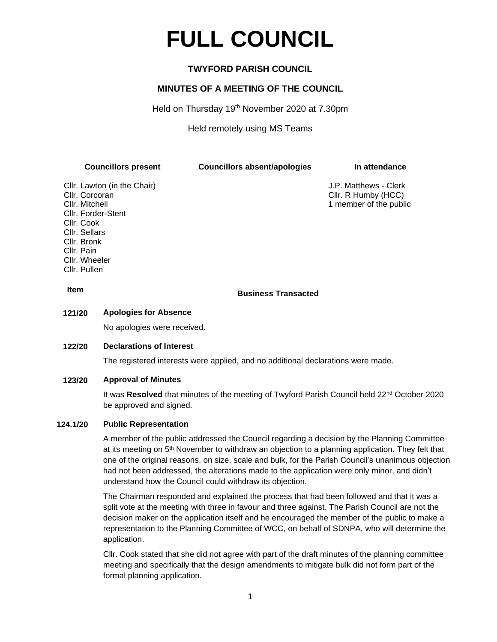# **FULL COUNCIL**

# **TWYFORD PARISH COUNCIL**

## **MINUTES OF A MEETING OF THE COUNCIL**

Held on Thursday 19<sup>th</sup> November 2020 at 7.30pm

Held remotely using MS Teams

**Councillors present Councillors absent/apologies In attendance**

Cllr. Lawton (in the Chair) J.P. Matthews - Clerk Cllr. Corcoran Cllr. R Humby (HCC) Cllr. Mitchell 1 member of the public Cllr. Forder-Stent Cllr. Cook Cllr. Sellars Cllr. Bronk Cllr. Pain Cllr. Wheeler Cllr. Pullen

# **Item Business Transacted**

#### **121/20 Apologies for Absence**

No apologies were received.

#### **122/20 Declarations of Interest**

The registered interests were applied, and no additional declarations were made.

#### **123/20 Approval of Minutes**

It was Resolved that minutes of the meeting of Twyford Parish Council held 22<sup>nd</sup> October 2020 be approved and signed.

#### **124.1/20 Public Representation**

A member of the public addressed the Council regarding a decision by the Planning Committee at its meeting on 5th November to withdraw an objection to a planning application. They felt that one of the original reasons, on size, scale and bulk, for the Parish Council's unanimous objection had not been addressed, the alterations made to the application were only minor, and didn't understand how the Council could withdraw its objection.

The Chairman responded and explained the process that had been followed and that it was a split vote at the meeting with three in favour and three against. The Parish Council are not the decision maker on the application itself and he encouraged the member of the public to make a representation to the Planning Committee of WCC, on behalf of SDNPA, who will determine the application.

Cllr. Cook stated that she did not agree with part of the draft minutes of the planning committee meeting and specifically that the design amendments to mitigate bulk did not form part of the formal planning application.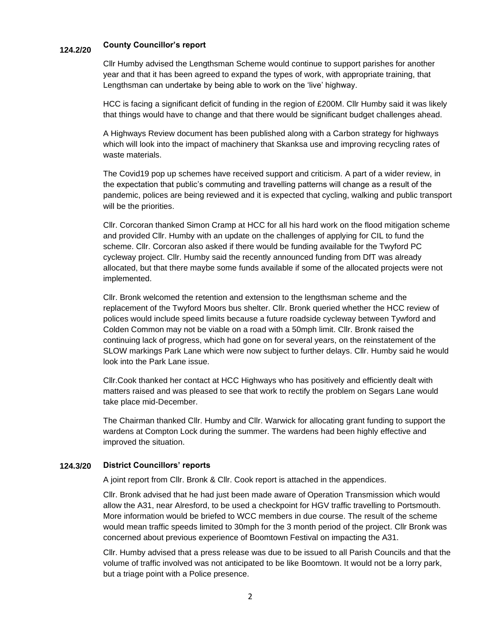# **124.2/20 County Councillor's report**

Cllr Humby advised the Lengthsman Scheme would continue to support parishes for another year and that it has been agreed to expand the types of work, with appropriate training, that Lengthsman can undertake by being able to work on the 'live' highway.

HCC is facing a significant deficit of funding in the region of £200M. Cllr Humby said it was likely that things would have to change and that there would be significant budget challenges ahead.

A Highways Review document has been published along with a Carbon strategy for highways which will look into the impact of machinery that Skanksa use and improving recycling rates of waste materials.

The Covid19 pop up schemes have received support and criticism. A part of a wider review, in the expectation that public's commuting and travelling patterns will change as a result of the pandemic, polices are being reviewed and it is expected that cycling, walking and public transport will be the priorities.

Cllr. Corcoran thanked Simon Cramp at HCC for all his hard work on the flood mitigation scheme and provided Cllr. Humby with an update on the challenges of applying for CIL to fund the scheme. Cllr. Corcoran also asked if there would be funding available for the Twyford PC cycleway project. Cllr. Humby said the recently announced funding from DfT was already allocated, but that there maybe some funds available if some of the allocated projects were not implemented.

Cllr. Bronk welcomed the retention and extension to the lengthsman scheme and the replacement of the Twyford Moors bus shelter. Cllr. Bronk queried whether the HCC review of polices would include speed limits because a future roadside cycleway between Tywford and Colden Common may not be viable on a road with a 50mph limit. Cllr. Bronk raised the continuing lack of progress, which had gone on for several years, on the reinstatement of the SLOW markings Park Lane which were now subject to further delays. Cllr. Humby said he would look into the Park Lane issue.

Cllr.Cook thanked her contact at HCC Highways who has positively and efficiently dealt with matters raised and was pleased to see that work to rectify the problem on Segars Lane would take place mid-December.

The Chairman thanked Cllr. Humby and Cllr. Warwick for allocating grant funding to support the wardens at Compton Lock during the summer. The wardens had been highly effective and improved the situation.

#### **124.3/20 District Councillors' reports**

A joint report from Cllr. Bronk & Cllr. Cook report is attached in the appendices.

Cllr. Bronk advised that he had just been made aware of Operation Transmission which would allow the A31, near Alresford, to be used a checkpoint for HGV traffic travelling to Portsmouth. More information would be briefed to WCC members in due course. The result of the scheme would mean traffic speeds limited to 30mph for the 3 month period of the project. Cllr Bronk was concerned about previous experience of Boomtown Festival on impacting the A31.

Cllr. Humby advised that a press release was due to be issued to all Parish Councils and that the volume of traffic involved was not anticipated to be like Boomtown. It would not be a lorry park, but a triage point with a Police presence.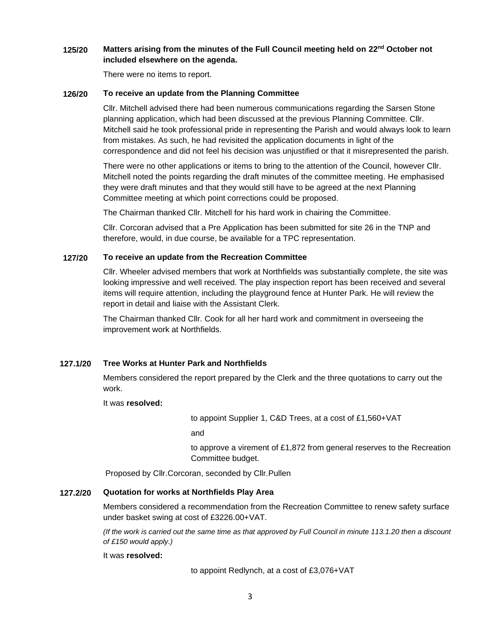#### **125/20 Matters arising from the minutes of the Full Council meeting held on 22nd October not included elsewhere on the agenda.**

There were no items to report.

#### **126/20 To receive an update from the Planning Committee**

Cllr. Mitchell advised there had been numerous communications regarding the Sarsen Stone planning application, which had been discussed at the previous Planning Committee. Cllr. Mitchell said he took professional pride in representing the Parish and would always look to learn from mistakes. As such, he had revisited the application documents in light of the correspondence and did not feel his decision was unjustified or that it misrepresented the parish.

There were no other applications or items to bring to the attention of the Council, however Cllr. Mitchell noted the points regarding the draft minutes of the committee meeting. He emphasised they were draft minutes and that they would still have to be agreed at the next Planning Committee meeting at which point corrections could be proposed.

The Chairman thanked Cllr. Mitchell for his hard work in chairing the Committee.

Cllr. Corcoran advised that a Pre Application has been submitted for site 26 in the TNP and therefore, would, in due course, be available for a TPC representation.

#### **127/20 To receive an update from the Recreation Committee**

Cllr. Wheeler advised members that work at Northfields was substantially complete, the site was looking impressive and well received. The play inspection report has been received and several items will require attention, including the playground fence at Hunter Park. He will review the report in detail and liaise with the Assistant Clerk.

The Chairman thanked Cllr. Cook for all her hard work and commitment in overseeing the improvement work at Northfields.

#### **127.1/20 Tree Works at Hunter Park and Northfields**

Members considered the report prepared by the Clerk and the three quotations to carry out the work.

It was **resolved:**

to appoint Supplier 1, C&D Trees, at a cost of £1,560+VAT

and

to approve a virement of £1,872 from general reserves to the Recreation Committee budget.

Proposed by Cllr.Corcoran, seconded by Cllr.Pullen

#### **127.2/20 Quotation for works at Northfields Play Area**

Members considered a recommendation from the Recreation Committee to renew safety surface under basket swing at cost of £3226.00+VAT.

*(If the work is carried out the same time as that approved by Full Council in minute 113.1.20 then a discount of £150 would apply.)*

#### It was **resolved:**

to appoint Redlynch, at a cost of £3,076+VAT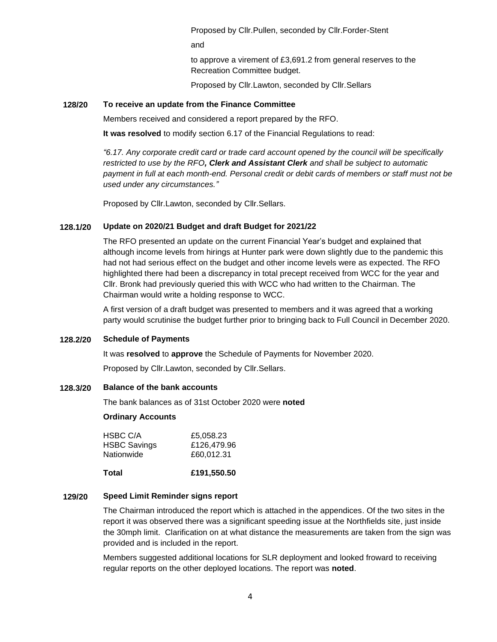Proposed by Cllr.Pullen, seconded by Cllr.Forder-Stent

and

to approve a virement of £3,691.2 from general reserves to the Recreation Committee budget.

Proposed by Cllr.Lawton, seconded by Cllr.Sellars

### **128/20 To receive an update from the Finance Committee**

Members received and considered a report prepared by the RFO.

**It was resolved** to modify section 6.17 of the Financial Regulations to read:

*"6.17. Any corporate credit card or trade card account opened by the council will be specifically restricted to use by the RFO, Clerk and Assistant Clerk and shall be subject to automatic payment in full at each month-end. Personal credit or debit cards of members or staff must not be used under any circumstances."*

Proposed by Cllr.Lawton, seconded by Cllr.Sellars.

#### **128.1/20 Update on 2020/21 Budget and draft Budget for 2021/22**

The RFO presented an update on the current Financial Year's budget and explained that although income levels from hirings at Hunter park were down slightly due to the pandemic this had not had serious effect on the budget and other income levels were as expected. The RFO highlighted there had been a discrepancy in total precept received from WCC for the year and Cllr. Bronk had previously queried this with WCC who had written to the Chairman. The Chairman would write a holding response to WCC.

A first version of a draft budget was presented to members and it was agreed that a working party would scrutinise the budget further prior to bringing back to Full Council in December 2020.

#### **128.2/20 Schedule of Payments**

It was **resolved** to **approve** the Schedule of Payments for November 2020.

Proposed by Cllr.Lawton, seconded by Cllr.Sellars.

#### **128.3/20 Balance of the bank accounts**

The bank balances as of 31st October 2020 were **noted**

#### **Ordinary Accounts**

| HSBC C/A            | £5,058.23   |
|---------------------|-------------|
| <b>HSBC Savings</b> | £126,479.96 |
| Nationwide          | £60,012.31  |
|                     |             |

**Total £191,550.50**

#### **129/20 Speed Limit Reminder signs report**

The Chairman introduced the report which is attached in the appendices. Of the two sites in the report it was observed there was a significant speeding issue at the Northfields site, just inside the 30mph limit. Clarification on at what distance the measurements are taken from the sign was provided and is included in the report.

Members suggested additional locations for SLR deployment and looked froward to receiving regular reports on the other deployed locations. The report was **noted**.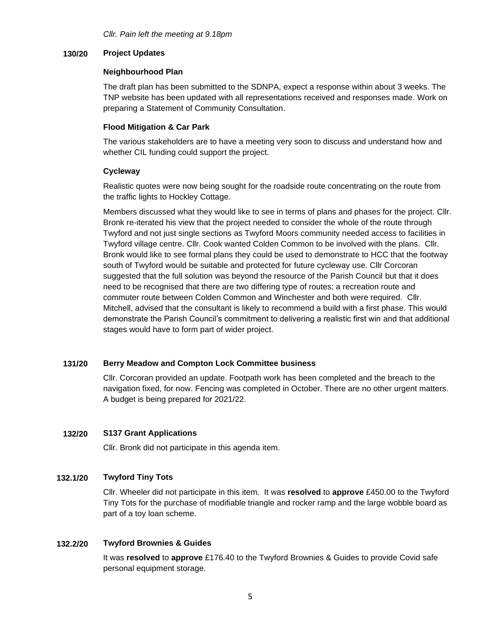#### **130/20 Project Updates**

#### **Neighbourhood Plan**

The draft plan has been submitted to the SDNPA, expect a response within about 3 weeks. The TNP website has been updated with all representations received and responses made. Work on preparing a Statement of Community Consultation.

### **Flood Mitigation & Car Park**

The various stakeholders are to have a meeting very soon to discuss and understand how and whether CIL funding could support the project.

### **Cycleway**

Realistic quotes were now being sought for the roadside route concentrating on the route from the traffic lights to Hockley Cottage.

Members discussed what they would like to see in terms of plans and phases for the project. Cllr. Bronk re-iterated his view that the project needed to consider the whole of the route through Twyford and not just single sections as Twyford Moors community needed access to facilities in Twyford village centre. Cllr. Cook wanted Colden Common to be involved with the plans. Cllr. Bronk would like to see formal plans they could be used to demonstrate to HCC that the footway south of Twyford would be suitable and protected for future cycleway use. Cllr Corcoran suggested that the full solution was beyond the resource of the Parish Council but that it does need to be recognised that there are two differing type of routes; a recreation route and commuter route between Colden Common and Winchester and both were required. Cllr. Mitchell, advised that the consultant is likely to recommend a build with a first phase. This would demonstrate the Parish Council's commitment to delivering a realistic first win and that additional stages would have to form part of wider project.

### **131/20 Berry Meadow and Compton Lock Committee business**

Cllr. Corcoran provided an update. Footpath work has been completed and the breach to the navigation fixed, for now. Fencing was completed in October. There are no other urgent matters. A budget is being prepared for 2021/22.

#### **132/20 S137 Grant Applications**

Cllr. Bronk did not participate in this agenda item.

#### **132.1/20 Twyford Tiny Tots**

Cllr. Wheeler did not participate in this item. It was **resolved** to **approve** £450.00 to the Twyford Tiny Tots for the purchase of modifiable triangle and rocker ramp and the large wobble board as part of a toy loan scheme.

#### **132.2/20 Twyford Brownies & Guides**

It was **resolved** to **approve** £176.40 to the Twyford Brownies & Guides to provide Covid safe personal equipment storage.